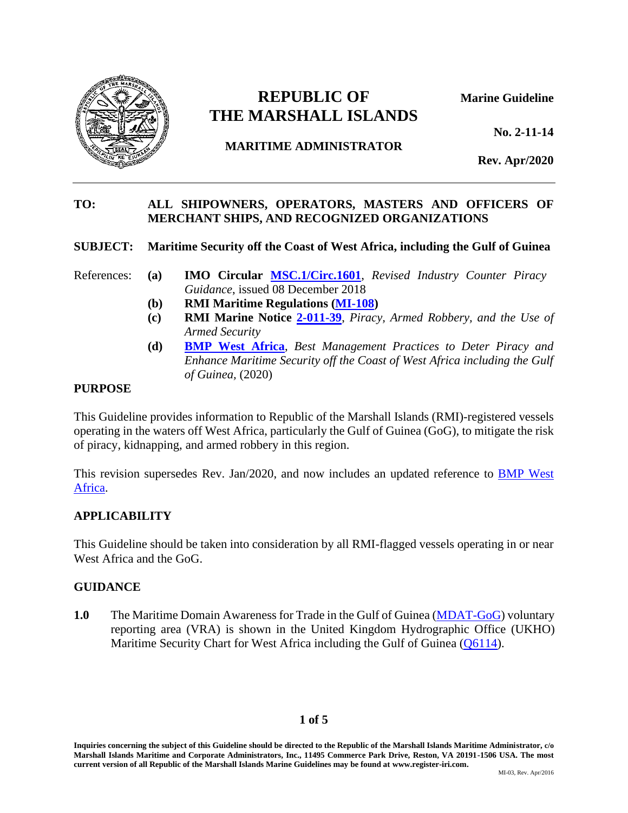

# **REPUBLIC OF Marine Guideline THE MARSHALL ISLANDS**

**No. 2-11-14**

# **MARITIME ADMINISTRATOR**

**Rev. Apr/2020**

#### **TO: ALL SHIPOWNERS, OPERATORS, MASTERS AND OFFICERS OF MERCHANT SHIPS, AND RECOGNIZED ORGANIZATIONS**

## **SUBJECT: Maritime Security off the Coast of West Africa, including the Gulf of Guinea**

- References: **(a) IMO Circular [MSC.1/Circ.1601](https://www.register-iri.com/wp-content/uploads/MSC.1-Circ.1601.pdf)**, *Revised Industry Counter Piracy Guidance*, issued 08 December 2018
	- **(b) RMI Maritime Regulations [\(MI-108\)](https://www.register-iri.com/wp-content/uploads/MI-108.pdf)**
	- **(c) RMI Marine Notice [2-011-39](https://www.register-iri.com/wp-content/uploads/MN-2-011-39.pdf)**, *Piracy, Armed Robbery, and the Use of Armed Security*
	- **(d) [BMP West Africa](http://www.register-iri.com/forms/upload/GoG-Updated_Guidelines.pdf)**, *Best Management Practices to Deter Piracy and Enhance Maritime Security off the Coast of West Africa including the Gulf of Guinea,* (2020)

## **PURPOSE**

This Guideline provides information to Republic of the Marshall Islands (RMI)-registered vessels operating in the waters off West Africa, particularly the Gulf of Guinea (GoG), to mitigate the risk of piracy, kidnapping, and armed robbery in this region.

This revision supersedes Rev. Jan/2020, and now includes an updated reference to **BMP West** [Africa.](http://www.register-iri.com/forms/upload/GoG-Updated_Guidelines.pdf)

# **APPLICABILITY**

This Guideline should be taken into consideration by all RMI-flagged vessels operating in or near West Africa and the GoG.

# **GUIDANCE**

**1.0** The Maritime Domain Awareness for Trade in the Gulf of Guinea [\(MDAT-GoG\)](https://gog-mdat.org/home) voluntary reporting area (VRA) is shown in the United Kingdom Hydrographic Office (UKHO) Maritime Security Chart for West Africa including the Gulf of Guinea [\(Q6114\)](https://www.admiralty.co.uk/AdmiraltyDownloadMedia/Security%20Related%20Information%20to%20Mariners/Q6114_A4.pdf).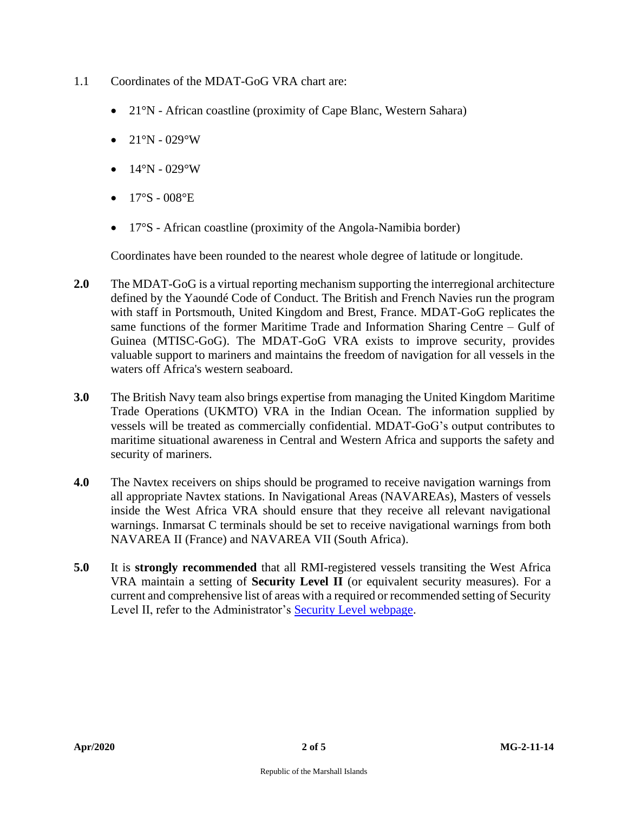- 1.1 Coordinates of the MDAT-GoG VRA chart are:
	- 21°N African coastline (proximity of Cape Blanc, Western Sahara)
	- $21^{\circ}N 029^{\circ}W$
	- $14^{\circ}N 029^{\circ}W$
	- $17°S 008°E$
	- 17°S African coastline (proximity of the Angola-Namibia border)

Coordinates have been rounded to the nearest whole degree of latitude or longitude.

- **2.0** The MDAT-GoG is a virtual reporting mechanism supporting the interregional architecture defined by the Yaoundé Code of Conduct. The British and French Navies run the program with staff in Portsmouth, United Kingdom and Brest, France. MDAT-GoG replicates the same functions of the former Maritime Trade and Information Sharing Centre – Gulf of Guinea (MTISC-GoG). The MDAT-GoG VRA exists to improve security, provides valuable support to mariners and maintains the freedom of navigation for all vessels in the waters off Africa's western seaboard.
- **3.0** The British Navy team also brings expertise from managing the United Kingdom Maritime Trade Operations (UKMTO) VRA in the Indian Ocean. The information supplied by vessels will be treated as commercially confidential. MDAT-GoG's output contributes to maritime situational awareness in Central and Western Africa and supports the safety and security of mariners.
- **4.0** The Navtex receivers on ships should be programed to receive navigation warnings from all appropriate Navtex stations. In Navigational Areas (NAVAREAs), Masters of vessels inside the West Africa VRA should ensure that they receive all relevant navigational warnings. Inmarsat C terminals should be set to receive navigational warnings from both NAVAREA II (France) and NAVAREA VII (South Africa).
- **5.0** It is **strongly recommended** that all RMI-registered vessels transiting the West Africa VRA maintain a setting of **Security Level II** (or equivalent security measures). For a current and comprehensive list of areas with a required or recommended setting of Security Level II, refer to the Administrator's [Security Level webpage.](https://www.register-iri.com/maritime/maritime-security/)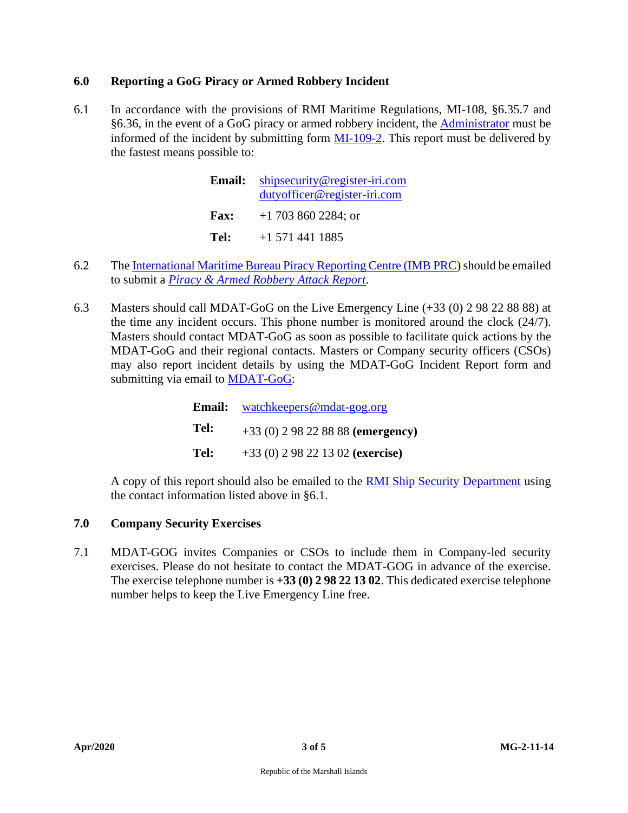# **6.0 Reporting a GoG Piracy or Armed Robbery Incident**

6.1 In accordance with the provisions of RMI Maritime Regulations, MI-108, §6.35.7 and §6.36, in the event of a GoG piracy or armed robbery incident, the [Administrator](mailto:shipsecurity@register-iri.com?subject=Piracy%20Incident%20Report%20(MI%20109-2)) must be informed of the incident by submitting form [MI-109-2.](https://www.register-iri.com/wp-content/uploads/MI-109-2-Report-of-Acts-of-Piracy-Armed-Robbery-against-Ships.pdf) This report must be delivered by the fastest means possible to:

| <b>Email:</b> | shipsecurity@register-iri.com |  |  |
|---------------|-------------------------------|--|--|
|               | dutyofficer@register-iri.com  |  |  |
| <b>Fax:</b>   | $+1$ 703 860 2284; or         |  |  |
| Tel:          | $+1$ 571 441 1885             |  |  |

- 6.2 The [International Maritime Bureau Piracy Reporting Centre \(IMB PRC\)](mailto:imbkl@icc-ccs.org;%20piracy@icc-ccs.org?subject=Piracy%20Incident%20Report) should be emailed to submit a *[Piracy & Armed Robbery Attack Report](http://www.icc-ccs.org/images/stories/IMB_PRC/docs/piracy%20reporting%20form.doc?phpMyAdmin=F5XY3CeBeymbElbQ8jr4qlxK1J3)*.
- 6.3 Masters should call MDAT-GoG on the Live Emergency Line (+33 (0) 2 98 22 88 88) at the time any incident occurs. This phone number is monitored around the clock (24/7). Masters should contact MDAT-GoG as soon as possible to facilitate quick actions by the MDAT-GoG and their regional contacts. Masters or Company security officers (CSOs) may also report incident details by using the MDAT-GoG Incident Report form and submitting via email to [MDAT-GoG:](mailto:watchkeepers@mdat-gog.org?subject=Incident%20Report)

|      | <b>Email:</b> watchkeepers@mdat-gog.org |  |
|------|-----------------------------------------|--|
| Tel: | $+33(0)$ 2 98 22 88 88 (emergency)      |  |
| Tel: | $+33(0)$ 2 98 22 13 02 (exercise)       |  |

A copy of this report should also be emailed to the **RMI Ship Security Department** using the contact information listed above in §6.1.

# **7.0 Company Security Exercises**

7.1 MDAT-GOG invites Companies or CSOs to include them in Company-led security exercises. Please do not hesitate to contact the MDAT-GOG in advance of the exercise. The exercise telephone number is **+33 (0) 2 98 22 13 02**. This dedicated exercise telephone number helps to keep the Live Emergency Line free.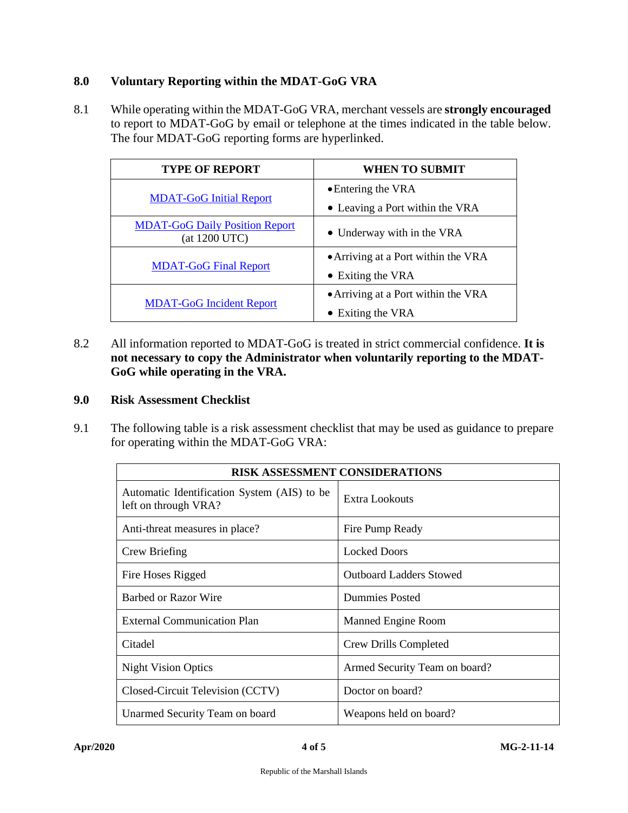## **8.0 Voluntary Reporting within the MDAT-GoG VRA**

8.1 While operating within the MDAT-GoG VRA, merchant vessels are **strongly encouraged** to report to MDAT-GoG by email or telephone at the times indicated in the table below. The four MDAT-GoG reporting forms are hyperlinked.

| <b>TYPE OF REPORT</b>                                  | <b>WHEN TO SUBMIT</b>               |
|--------------------------------------------------------|-------------------------------------|
|                                                        | • Entering the VRA                  |
| <b>MDAT-GoG Initial Report</b>                         | • Leaving a Port within the VRA     |
| <b>MDAT-GoG Daily Position Report</b><br>(at 1200 UTC) | • Underway with in the VRA          |
|                                                        | • Arriving at a Port within the VRA |
| <b>MDAT-GoG Final Report</b>                           | • Exiting the VRA                   |
|                                                        | • Arriving at a Port within the VRA |
| <b>MDAT-GoG Incident Report</b>                        | • Exiting the VRA                   |

8.2 All information reported to MDAT-GoG is treated in strict commercial confidence. **It is not necessary to copy the Administrator when voluntarily reporting to the MDAT-GoG while operating in the VRA.**

## **9.0 Risk Assessment Checklist**

9.1 The following table is a risk assessment checklist that may be used as guidance to prepare for operating within the MDAT-GoG VRA:

| <b>RISK ASSESSMENT CONSIDERATIONS</b>                               |                                |  |  |
|---------------------------------------------------------------------|--------------------------------|--|--|
| Automatic Identification System (AIS) to be<br>left on through VRA? | Extra Lookouts                 |  |  |
| Anti-threat measures in place?                                      | Fire Pump Ready                |  |  |
| Crew Briefing                                                       | <b>Locked Doors</b>            |  |  |
| Fire Hoses Rigged                                                   | <b>Outboard Ladders Stowed</b> |  |  |
| Barbed or Razor Wire                                                | <b>Dummies Posted</b>          |  |  |
| <b>External Communication Plan</b>                                  | Manned Engine Room             |  |  |
| Citadel                                                             | Crew Drills Completed          |  |  |
| <b>Night Vision Optics</b>                                          | Armed Security Team on board?  |  |  |
| Closed-Circuit Television (CCTV)                                    | Doctor on board?               |  |  |
| Unarmed Security Team on board                                      | Weapons held on board?         |  |  |